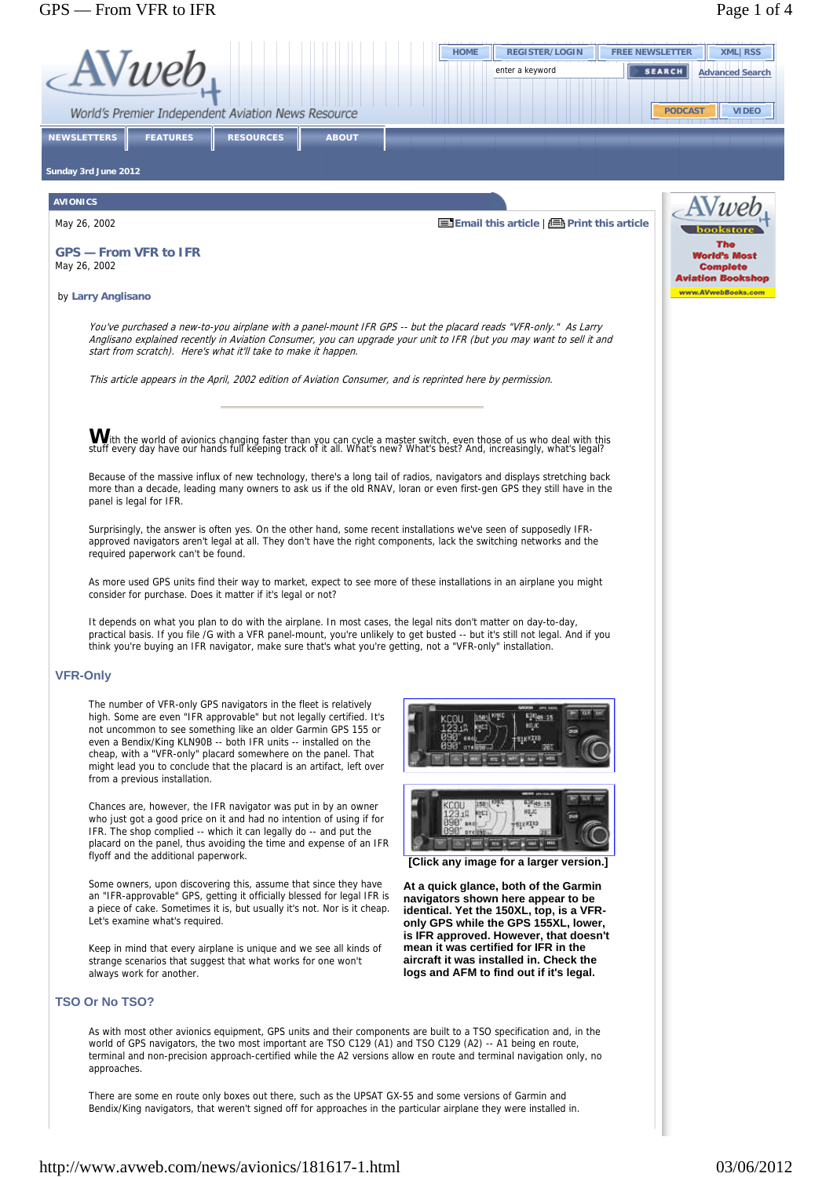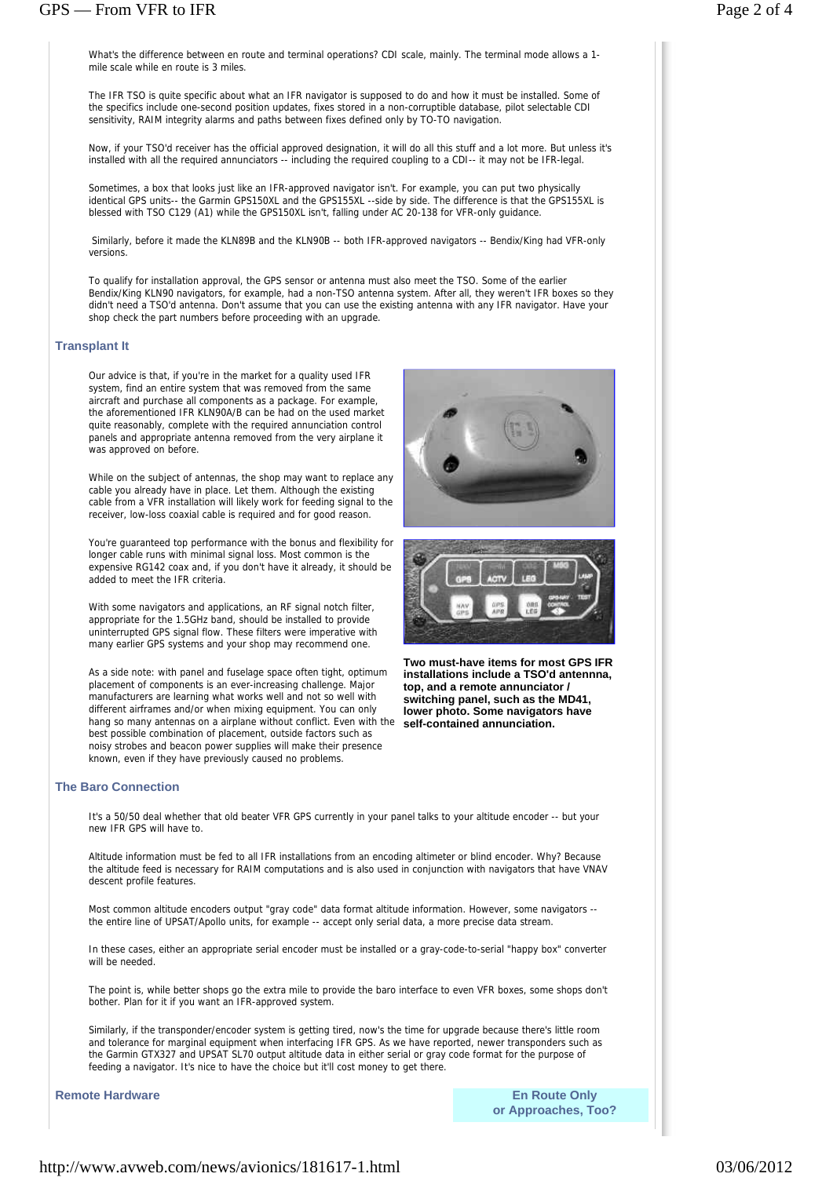What's the difference between en route and terminal operations? CDI scale, mainly. The terminal mode allows a 1 mile scale while en route is 3 miles.

The IFR TSO is quite specific about what an IFR navigator is supposed to do and how it must be installed. Some of the specifics include one-second position updates, fixes stored in a non-corruptible database, pilot selectable CDI sensitivity, RAIM integrity alarms and paths between fixes defined only by TO-TO navigation.

Now, if your TSO'd receiver has the official approved designation, it will do all this stuff and a lot more. But unless it's installed with all the required annunciators -- including the required coupling to a CDI-- it may not be IFR-legal.

Sometimes, a box that looks just like an IFR-approved navigator isn't. For example, you can put two physically identical GPS units-- the Garmin GPS150XL and the GPS155XL --side by side. The difference is that the GPS155XL is blessed with TSO C129 (A1) while the GPS150XL isn't, falling under AC 20-138 for VFR-only guidance.

 Similarly, before it made the KLN89B and the KLN90B -- both IFR-approved navigators -- Bendix/King had VFR-only versions.

To qualify for installation approval, the GPS sensor or antenna must also meet the TSO. Some of the earlier Bendix/King KLN90 navigators, for example, had a non-TSO antenna system. After all, they weren't IFR boxes so they didn't need a TSO'd antenna. Don't assume that you can use the existing antenna with any IFR navigator. Have your shop check the part numbers before proceeding with an upgrade.

## **Transplant It**

Our advice is that, if you're in the market for a quality used IFR system, find an entire system that was removed from the same aircraft and purchase all components as a package. For example, the aforementioned IFR KLN90A/B can be had on the used market quite reasonably, complete with the required annunciation control panels and appropriate antenna removed from the very airplane it was approved on before.

While on the subject of antennas, the shop may want to replace any cable you already have in place. Let them. Although the existing cable from a VFR installation will likely work for feeding signal to the receiver, low-loss coaxial cable is required and for good reason.

You're guaranteed top performance with the bonus and flexibility for longer cable runs with minimal signal loss. Most common is the expensive RG142 coax and, if you don't have it already, it should be added to meet the IFR criteria.

With some navigators and applications, an RF signal notch filter, appropriate for the 1.5GHz band, should be installed to provide uninterrupted GPS signal flow. These filters were imperative with many earlier GPS systems and your shop may recommend one.

As a side note: with panel and fuselage space often tight, optimum placement of components is an ever-increasing challenge. Major manufacturers are learning what works well and not so well with different airframes and/or when mixing equipment. You can only hang so many antennas on a airplane without conflict. Even with the best possible combination of placement, outside factors such as noisy strobes and beacon power supplies will make their presence known, even if they have previously caused no problems.





**Two must-have items for most GPS IFR installations include a TSO'd antennna, top, and a remote annunciator / switching panel, such as the MD41, lower photo. Some navigators have self-contained annunciation.**

## **The Baro Connection**

It's a 50/50 deal whether that old beater VFR GPS currently in your panel talks to your altitude encoder -- but your new IFR GPS will have to.

Altitude information must be fed to all IFR installations from an encoding altimeter or blind encoder. Why? Because the altitude feed is necessary for RAIM computations and is also used in conjunction with navigators that have VNAV descent profile features.

Most common altitude encoders output "gray code" data format altitude information. However, some navigators - the entire line of UPSAT/Apollo units, for example -- accept only serial data, a more precise data stream.

In these cases, either an appropriate serial encoder must be installed or a gray-code-to-serial "happy box" converter will be needed.

The point is, while better shops go the extra mile to provide the baro interface to even VFR boxes, some shops don't bother. Plan for it if you want an IFR-approved system.

Similarly, if the transponder/encoder system is getting tired, now's the time for upgrade because there's little room and tolerance for marginal equipment when interfacing IFR GPS. As we have reported, newer transponders such as the Garmin GTX327 and UPSAT SL70 output altitude data in either serial or gray code format for the purpose of feeding a navigator. It's nice to have the choice but it'll cost money to get there.

**Remote Hardware**

**En Route Only or Approaches, Too?**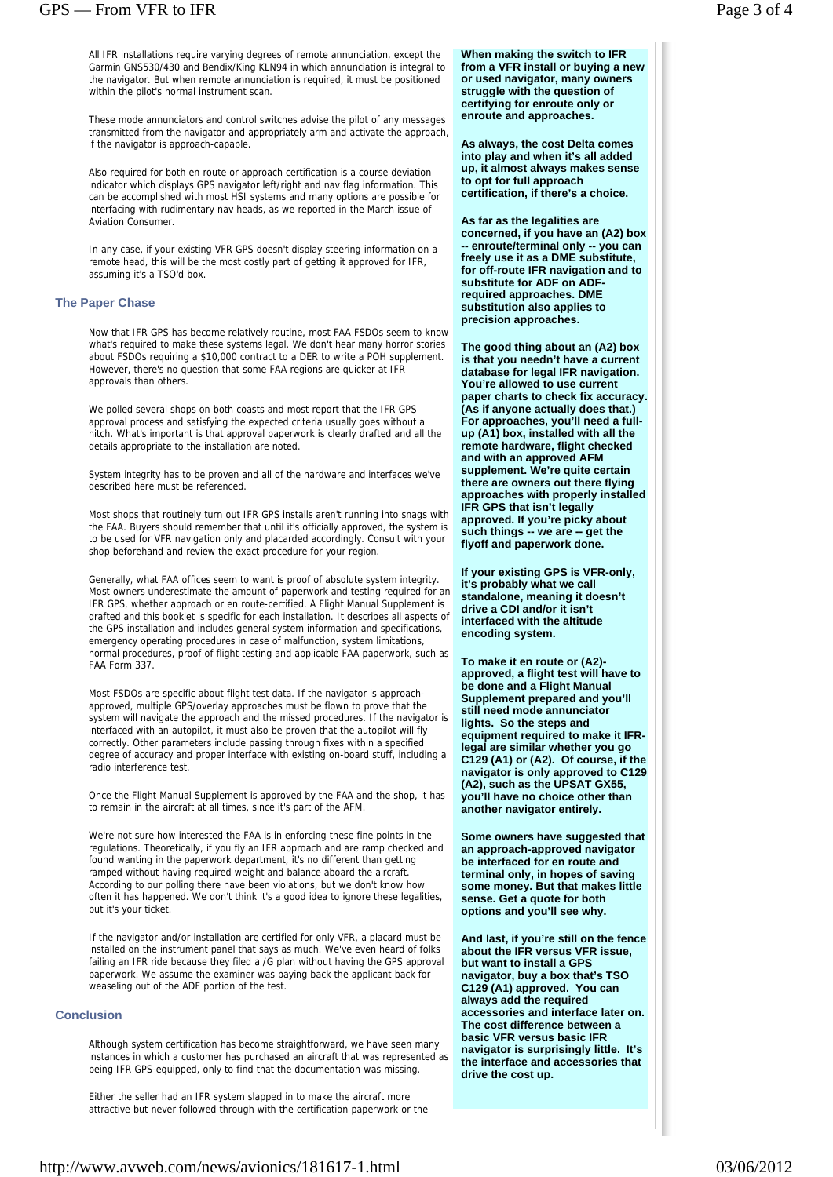All IFR installations require varying degrees of remote annunciation, except the Garmin GNS530/430 and Bendix/King KLN94 in which annunciation is integral to the navigator. But when remote annunciation is required, it must be positioned within the pilot's normal instrument scan.

These mode annunciators and control switches advise the pilot of any messages transmitted from the navigator and appropriately arm and activate the approach, if the navigator is approach-capable.

Also required for both en route or approach certification is a course deviation indicator which displays GPS navigator left/right and nav flag information. This can be accomplished with most HSI systems and many options are possible for interfacing with rudimentary nav heads, as we reported in the March issue of Aviation Consumer.

In any case, if your existing VFR GPS doesn't display steering information on a remote head, this will be the most costly part of getting it approved for IFR, assuming it's a TSO'd box.

## **The Paper Chase**

Now that IFR GPS has become relatively routine, most FAA FSDOs seem to know what's required to make these systems legal. We don't hear many horror stories about FSDOs requiring a \$10,000 contract to a DER to write a POH supplement. However, there's no question that some FAA regions are quicker at IFR approvals than others.

We polled several shops on both coasts and most report that the IFR GPS approval process and satisfying the expected criteria usually goes without a hitch. What's important is that approval paperwork is clearly drafted and all the details appropriate to the installation are noted.

System integrity has to be proven and all of the hardware and interfaces we've described here must be referenced.

Most shops that routinely turn out IFR GPS installs aren't running into snags with the FAA. Buyers should remember that until it's officially approved, the system is to be used for VFR navigation only and placarded accordingly. Consult with your shop beforehand and review the exact procedure for your region.

Generally, what FAA offices seem to want is proof of absolute system integrity. Most owners underestimate the amount of paperwork and testing required for an IFR GPS, whether approach or en route-certified. A Flight Manual Supplement is drafted and this booklet is specific for each installation. It describes all aspects of the GPS installation and includes general system information and specifications, emergency operating procedures in case of malfunction, system limitations, normal procedures, proof of flight testing and applicable FAA paperwork, such as FAA Form 337.

Most FSDOs are specific about flight test data. If the navigator is approachapproved, multiple GPS/overlay approaches must be flown to prove that the system will navigate the approach and the missed procedures. If the navigator is interfaced with an autopilot, it must also be proven that the autopilot will fly correctly. Other parameters include passing through fixes within a specified degree of accuracy and proper interface with existing on-board stuff, including a radio interference test.

Once the Flight Manual Supplement is approved by the FAA and the shop, it has to remain in the aircraft at all times, since it's part of the AFM.

We're not sure how interested the FAA is in enforcing these fine points in the regulations. Theoretically, if you fly an IFR approach and are ramp checked and found wanting in the paperwork department, it's no different than getting ramped without having required weight and balance aboard the aircraft. According to our polling there have been violations, but we don't know how often it has happened. We don't think it's a good idea to ignore these legalities, but it's your ticket.

If the navigator and/or installation are certified for only VFR, a placard must be installed on the instrument panel that says as much. We've even heard of folks failing an IFR ride because they filed a /G plan without having the GPS approval paperwork. We assume the examiner was paying back the applicant back for weaseling out of the ADF portion of the test.

## **Conclusion**

Although system certification has become straightforward, we have seen many instances in which a customer has purchased an aircraft that was represented as being IFR GPS-equipped, only to find that the documentation was missing.

Either the seller had an IFR system slapped in to make the aircraft more attractive but never followed through with the certification paperwork or the

**When making the switch to IFR from a VFR install or buying a new or used navigator, many owners struggle with the question of certifying for enroute only or enroute and approaches.** 

**As always, the cost Delta comes into play and when it's all added up, it almost always makes sense to opt for full approach certification, if there's a choice.**

**As far as the legalities are concerned, if you have an (A2) box**  enroute/terminal only -- you can **freely use it as a DME substitute, for off-route IFR navigation and to substitute for ADF on ADFrequired approaches. DME substitution also applies to precision approaches.**

**The good thing about an (A2) box is that you needn't have a current database for legal IFR navigation. You're allowed to use current paper charts to check fix accuracy. (As if anyone actually does that.) For approaches, you'll need a fullup (A1) box, installed with all the remote hardware, flight checked and with an approved AFM supplement. We're quite certain there are owners out there flying approaches with properly installed IFR GPS that isn't legally approved. If you're picky about**  such things -- we are -- get the **flyoff and paperwork done.**

**If your existing GPS is VFR-only, it's probably what we call standalone, meaning it doesn't drive a CDI and/or it isn't interfaced with the altitude encoding system.** 

**To make it en route or (A2) approved, a flight test will have to be done and a Flight Manual Supplement prepared and you'll still need mode annunciator lights. So the steps and equipment required to make it IFRlegal are similar whether you go C129 (A1) or (A2). Of course, if the navigator is only approved to C129 (A2), such as the UPSAT GX55, you'll have no choice other than another navigator entirely.**

**Some owners have suggested that an approach-approved navigator be interfaced for en route and terminal only, in hopes of saving some money. But that makes little sense. Get a quote for both options and you'll see why.**

**And last, if you're still on the fence about the IFR versus VFR issue, but want to install a GPS navigator, buy a box that's TSO C129 (A1) approved. You can always add the required accessories and interface later on. The cost difference between a basic VFR versus basic IFR navigator is surprisingly little. It's the interface and accessories that drive the cost up.**